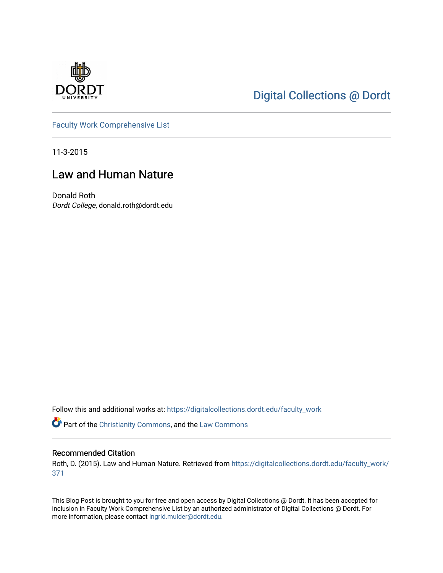

# [Digital Collections @ Dordt](https://digitalcollections.dordt.edu/)

[Faculty Work Comprehensive List](https://digitalcollections.dordt.edu/faculty_work)

11-3-2015

## Law and Human Nature

Donald Roth Dordt College, donald.roth@dordt.edu

Follow this and additional works at: [https://digitalcollections.dordt.edu/faculty\\_work](https://digitalcollections.dordt.edu/faculty_work?utm_source=digitalcollections.dordt.edu%2Ffaculty_work%2F371&utm_medium=PDF&utm_campaign=PDFCoverPages) 

Part of the [Christianity Commons,](http://network.bepress.com/hgg/discipline/1181?utm_source=digitalcollections.dordt.edu%2Ffaculty_work%2F371&utm_medium=PDF&utm_campaign=PDFCoverPages) and the [Law Commons](http://network.bepress.com/hgg/discipline/578?utm_source=digitalcollections.dordt.edu%2Ffaculty_work%2F371&utm_medium=PDF&utm_campaign=PDFCoverPages) 

#### Recommended Citation

Roth, D. (2015). Law and Human Nature. Retrieved from [https://digitalcollections.dordt.edu/faculty\\_work/](https://digitalcollections.dordt.edu/faculty_work/371?utm_source=digitalcollections.dordt.edu%2Ffaculty_work%2F371&utm_medium=PDF&utm_campaign=PDFCoverPages) [371](https://digitalcollections.dordt.edu/faculty_work/371?utm_source=digitalcollections.dordt.edu%2Ffaculty_work%2F371&utm_medium=PDF&utm_campaign=PDFCoverPages) 

This Blog Post is brought to you for free and open access by Digital Collections @ Dordt. It has been accepted for inclusion in Faculty Work Comprehensive List by an authorized administrator of Digital Collections @ Dordt. For more information, please contact [ingrid.mulder@dordt.edu.](mailto:ingrid.mulder@dordt.edu)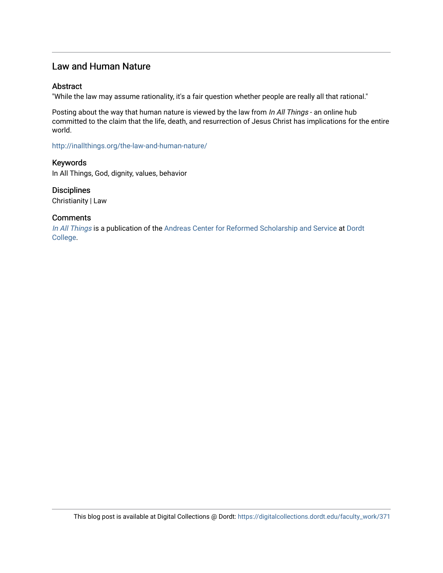## Law and Human Nature

#### Abstract

"While the law may assume rationality, it's a fair question whether people are really all that rational."

Posting about the way that human nature is viewed by the law from In All Things - an online hub committed to the claim that the life, death, and resurrection of Jesus Christ has implications for the entire world.

<http://inallthings.org/the-law-and-human-nature/>

Keywords In All Things, God, dignity, values, behavior

**Disciplines** Christianity | Law

#### **Comments**

[In All Things](http://inallthings.org/) is a publication of the [Andreas Center for Reformed Scholarship and Service](http://www.dordt.edu/services_support/andreas_center/) at Dordt [College](http://www.dordt.edu/).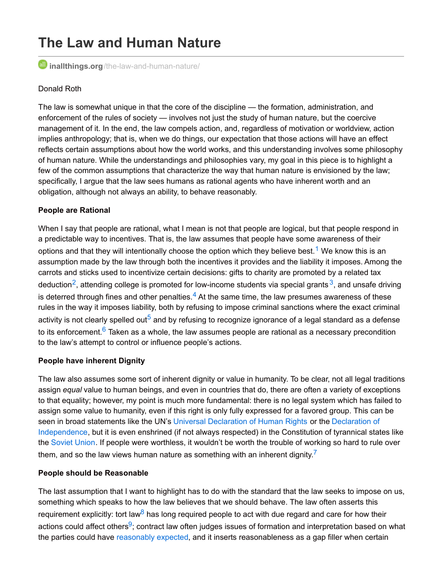# **The Law and Human Nature**

**inallthings.org**[/the-law-and-human-nature/](http://inallthings.org/the-law-and-human-nature/)

#### Donald Roth

The law is somewhat unique in that the core of the discipline — the formation, administration, and enforcement of the rules of society — involves not just the study of human nature, but the coercive management of it. In the end, the law compels action, and, regardless of motivation or worldview, action implies anthropology; that is, when we do things, our expectation that those actions will have an effect reflects certain assumptions about how the world works, and this understanding involves some philosophy of human nature. While the understandings and philosophies vary, my goal in this piece is to highlight a few of the common assumptions that characterize the way that human nature is envisioned by the law; specifically, I argue that the law sees humans as rational agents who have inherent worth and an obligation, although not always an ability, to behave reasonably.

#### **People are Rational**

When I say that people are rational, what I mean is not that people are logical, but that people respond in a predictable way to incentives. That is, the law assumes that people have some awareness of their options and that they will intentionally choose the option which they believe best.<sup>[1](http://inallthings.org/the-law-and-human-nature/#fn1-6737)</sup> We know this is an assumption made by the law through both the incentives it provides and the liability it imposes. Among the carrots and sticks used to incentivize certain decisions: gifts to charity are promoted by a related tax deduction<sup>[2](http://inallthings.org/the-law-and-human-nature/#fn2-6737)</sup>, attending college is promoted for low-income students via special grants  $^3$  $^3$ , and unsafe driving is deterred through fines and other penalties. $^4$  $^4$  At the same time, the law presumes awareness of these rules in the way it imposes liability, both by refusing to impose criminal sanctions where the exact criminal activity is not clearly spelled out<sup>[5](http://inallthings.org/the-law-and-human-nature/#fn5-6737)</sup> and by refusing to recognize ignorance of a legal standard as a defense to its enforcement.<sup>[6](http://inallthings.org/the-law-and-human-nature/#fn6-6737)</sup> Taken as a whole, the law assumes people are rational as a necessary precondition to the law's attempt to control or influence people's actions.

#### **People have inherent Dignity**

The law also assumes some sort of inherent dignity or value in humanity. To be clear, not all legal traditions assign *equal* value to human beings, and even in countries that do, there are often a variety of exceptions to that equality; however, my point is much more fundamental: there is no legal system which has failed to assign some value to humanity, even if this right is only fully expressed for a favored group. This can be seen in broad statements like the UN's Universal [Declaration](http://www.un.org/en/documents/udhr/) of Human Rights or the Declaration of [Independence,](http://www.archives.gov/exhibits/charters/declaration_transcript.html) but it is even enshrined (if not always respected) in the Constitution of tyrannical states like the [Soviet](http://www.departments.bucknell.edu/russian/const/77cons02.html) Union. If people were worthless, it wouldn't be worth the trouble of working so hard to rule over them, and so the law views human nature as something with an inherent dignity.<sup>[7](http://inallthings.org/the-law-and-human-nature/#fn7-6737)</sup>

#### **People should be Reasonable**

The last assumption that I want to highlight has to do with the standard that the law seeks to impose on us, something which speaks to how the law believes that we should behave. The law often asserts this requirement explicitly: tort law<sup>[8](http://inallthings.org/the-law-and-human-nature/#fn8-6737)</sup> has long required people to act with due regard and care for how their actions could affect others<sup>[9](http://inallthings.org/the-law-and-human-nature/#fn9-6737)</sup>; contract law often judges issues of formation and interpretation based on what the parties could have [reasonably](http://www.businessdictionary.com/definition/doctrine-of-reasonable-expectations.html) expected, and it inserts reasonableness as a gap filler when certain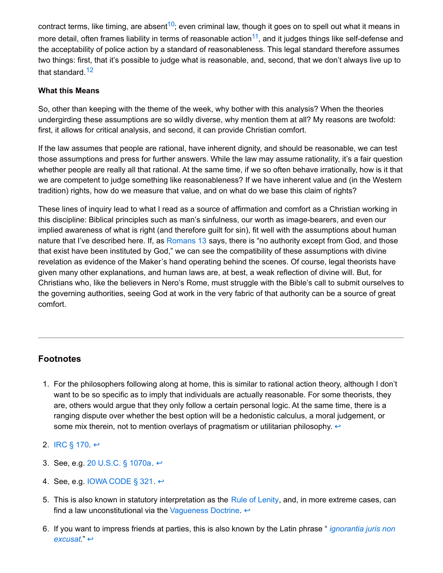contract terms, like timing, are absent<sup>[10](http://inallthings.org/the-law-and-human-nature/#fn10-6737)</sup>; even criminal law, though it goes on to spell out what it means in more detail, often frames liability in terms of reasonable action<sup>[11](http://inallthings.org/the-law-and-human-nature/#fn11-6737)</sup>, and it judges things like self-defense and the acceptability of police action by a standard of reasonableness. This legal standard therefore assumes two things: first, that it's possible to judge what is reasonable, and, second, that we don't always live up to that standard.<sup>[12](http://inallthings.org/the-law-and-human-nature/#fn12-6737)</sup>

#### **What this Means**

So, other than keeping with the theme of the week, why bother with this analysis? When the theories undergirding these assumptions are so wildly diverse, why mention them at all? My reasons are twofold: first, it allows for critical analysis, and second, it can provide Christian comfort.

If the law assumes that people are rational, have inherent dignity, and should be reasonable, we can test those assumptions and press for further answers. While the law may assume rationality, it's a fair question whether people are really all that rational. At the same time, if we so often behave irrationally, how is it that we are competent to judge something like reasonableness? If we have inherent value and (in the Western tradition) rights, how do we measure that value, and on what do we base this claim of rights?

These lines of inquiry lead to what I read as a source of affirmation and comfort as a Christian working in this discipline: Biblical principles such as man's sinfulness, our worth as image-bearers, and even our implied awareness of what is right (and therefore guilt for sin), fit well with the assumptions about human nature that I've described here. If, as [Romans](https://www.biblegateway.com/passage/?search=Romans+13&version=ESV) 13 says, there is "no authority except from God, and those that exist have been instituted by God," we can see the compatibility of these assumptions with divine revelation as evidence of the Maker's hand operating behind the scenes. Of course, legal theorists have given many other explanations, and human laws are, at best, a weak reflection of divine will. But, for Christians who, like the believers in Nero's Rome, must struggle with the Bible's call to submit ourselves to the governing authorities, seeing God at work in the very fabric of that authority can be a source of great comfort.

### **Footnotes**

1. For the philosophers following along at home, this is similar to rational action theory, although I don't want to be so specific as to imply that individuals are actually reasonable. For some theorists, they are, others would argue that they only follow a certain personal logic. At the same time, there is a ranging dispute over whether the best option will be a hedonistic calculus, a moral judgement, or some mix therein, not to mention overlays of pragmatism or utilitarian philosophy.  $\leftrightarrow$ 

2. [IRC](https://www.law.cornell.edu/uscode/text/26/170) § 170.  $\leftrightarrow$ 

- 3. See, e.g. 20 [U.S.C.](https://www.law.cornell.edu/uscode/text/20/1070a) § 1070a. ↔
- 4. See, e.g. IOWA [CODE](https://www.legis.iowa.gov/docs/code/321.pdf) § 321.  $\leftrightarrow$
- 5. This is also known in statutory interpretation as the Rule of [Lenity](https://www.law.cornell.edu/wex/statutory_construction), and, in more extreme cases, can find a law unconstitutional via the [Vagueness](https://en.wikipedia.org/wiki/Vagueness_doctrine) Doctrine.  $\leftrightarrow$
- 6. If you want to impress friends at parties, this is also known by the Latin phrase " *[ignorantia](https://en.wikipedia.org/wiki/Ignorantia_juris_non_excusat) juris non excusat*." [↩](http://inallthings.org/the-law-and-human-nature/#rf6-6737)